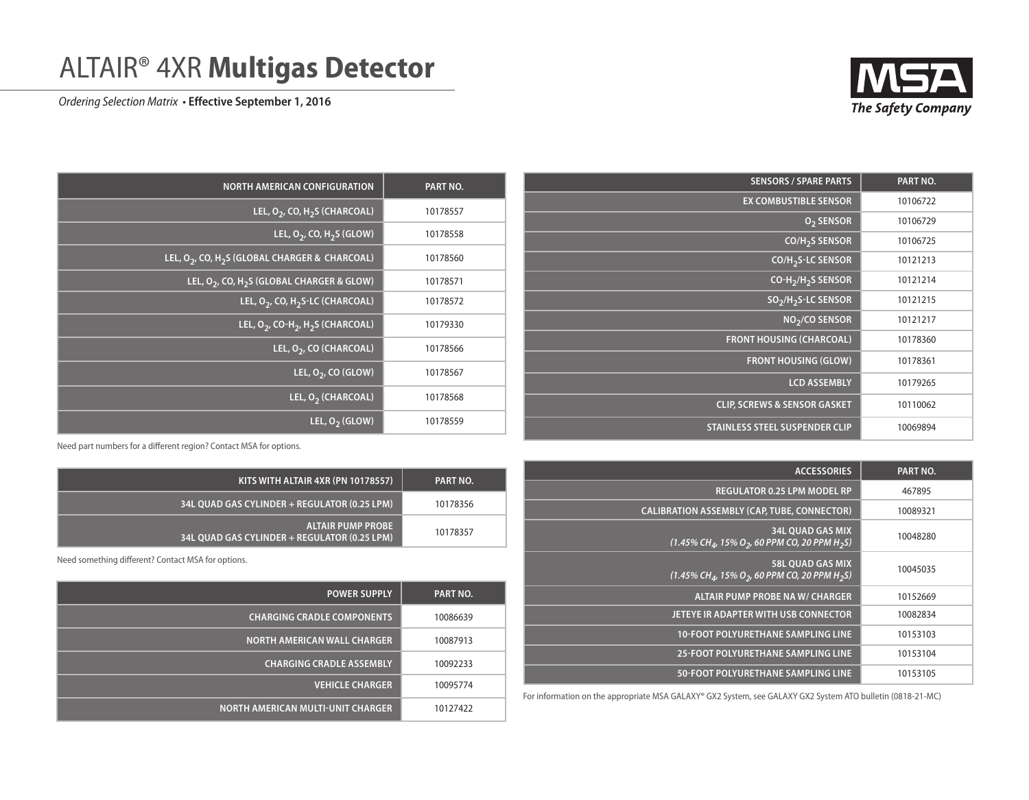

## ALTAIR® 4XR **Multigas Detector**

*Ordering Selection Matrix* • **Effective September 1, 2016**

| <b>SENSORS / SPARE PARTS</b>                | PART NO. |
|---------------------------------------------|----------|
| <b>EX COMBUSTIBLE SENSOR</b>                | 10106722 |
| O <sub>2</sub> SENSOR                       | 10106729 |
| CO/H <sub>2</sub> S SENSOR                  | 10106725 |
| CO/H <sub>2</sub> S-LC SENSOR               | 10121213 |
| CO-H <sub>2</sub> /H <sub>2</sub> S SENSOR  | 10121214 |
| SO <sub>2</sub> /H <sub>2</sub> S-LC SENSOR | 10121215 |
| $NO2/CO$ SENSOR                             | 10121217 |
| <b>FRONT HOUSING (CHARCOAL)</b>             | 10178360 |
| <b>FRONT HOUSING (GLOW)</b>                 | 10178361 |
| <b>LCD ASSEMBLY</b>                         | 10179265 |
| <b>CLIP, SCREWS &amp; SENSOR GASKET</b>     | 10110062 |
| <b>STAINLESS STEEL SUSPENDER CLIP</b>       | 10069894 |

| <b>ACCESSORIES</b>                                                                                             | PART NO. |
|----------------------------------------------------------------------------------------------------------------|----------|
| <b>REGULATOR 0.25 LPM MODEL RP</b>                                                                             | 467895   |
| <b>CALIBRATION ASSEMBLY (CAP, TUBE, CONNECTOR)</b>                                                             | 10089321 |
| <b>34L QUAD GAS MIX</b><br>$(1.45\% \text{ CH}_{4}$ , 15% O <sub>2</sub> , 60 PPM CO, 20 PPM H <sub>2</sub> S) | 10048280 |
| <b>58L QUAD GAS MIX</b><br>$(1.45\% \text{ CH}_{4}$ , 15% O <sub>2</sub> , 60 PPM CO, 20 PPM H <sub>2</sub> S) | 10045035 |
| <b>ALTAIR PUMP PROBE NA W/ CHARGER</b>                                                                         | 10152669 |
| JETEYE IR ADAPTER WITH USB CONNECTOR                                                                           | 10082834 |
| <b>10-FOOT POLYURETHANE SAMPLING LINE</b>                                                                      | 10153103 |
| <b>25-FOOT POLYURETHANE SAMPLING LINE</b>                                                                      | 10153104 |
| <b>50-FOOT POLYURETHANE SAMPLING LINE</b>                                                                      | 10153105 |

For information on the appropriate MSA GALAXY® GX2 System, see GALAXY GX2 System ATO bulletin (0818-21-MC)

| <b>NORTH AMERICAN CONFIGURATION</b>                                    | PART NO. |
|------------------------------------------------------------------------|----------|
| LEL, $O_2$ , CO, H <sub>2</sub> S (CHARCOAL)                           | 10178557 |
| LEL, $O_2$ , CO, $H_2S$ (GLOW)                                         | 10178558 |
| LEL, O <sub>2</sub> , CO, H <sub>2</sub> S (GLOBAL CHARGER & CHARCOAL) | 10178560 |
| LEL, O <sub>2</sub> , CO, H <sub>2</sub> S (GLOBAL CHARGER & GLOW)     | 10178571 |
| LEL, O <sub>2</sub> , CO, H <sub>2</sub> S-LC (CHARCOAL)               | 10178572 |
| LEL, $O_2$ , CO-H <sub>2</sub> , H <sub>2</sub> S (CHARCOAL)           | 10179330 |
| LEL, O <sub>2</sub> , CO (CHARCOAL)                                    | 10178566 |
| LEL, $O_2$ , CO (GLOW)                                                 | 10178567 |
| LEL, $O2$ (CHARCOAL)                                                   | 10178568 |
| LEL, $O2$ (GLOW)                                                       | 10178559 |

Need part numbers for a different region? Contact MSA for options.

| KITS WITH ALTAIR 4XR (PN 10178557)                                       | PART NO. |
|--------------------------------------------------------------------------|----------|
| 34L OUAD GAS CYLINDER + REGULATOR (0.25 LPM)                             | 10178356 |
| <b>ALTAIR PUMP PROBE</b><br>34L OUAD GAS CYLINDER + REGULATOR (0.25 LPM) | 10178357 |

Need something different? Contact MSA for options.

| <b>POWER SUPPLY</b>                | PART NO. |
|------------------------------------|----------|
| <b>CHARGING CRADLE COMPONENTS</b>  | 10086639 |
| <b>NORTH AMERICAN WALL CHARGER</b> | 10087913 |
| <b>CHARGING CRADLE ASSEMBLY</b>    | 10092233 |
| <b>VEHICLE CHARGER</b>             | 10095774 |
| NORTH AMERICAN MULTI-UNIT CHARGER  | 10127422 |